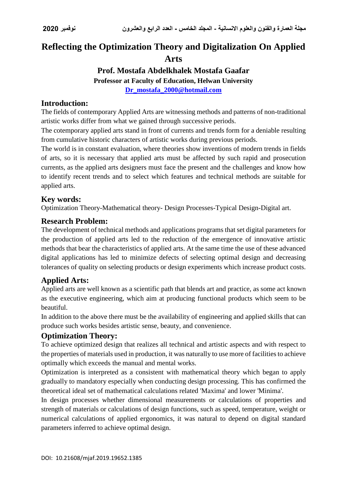# **Reflecting the Optimization Theory and Digitalization On Applied Arts**

#### **Prof. Mostafa Abdelkhalek Mostafa Gaafar Professor at Faculty of Education, Helwan University [Dr\\_mostafa\\_2000@hotmail.com](mailto:Dr_mostafa_2000@hotmail.com)**

#### **Introduction:**

The fields of contemporary Applied Arts are witnessing methods and patterns of non-traditional artistic works differ from what we gained through successive periods.

The cotemporary applied arts stand in front of currents and trends form for a deniable resulting from cumulative historic characters of artistic works during previous periods.

The world is in constant evaluation, where theories show inventions of modern trends in fields of arts, so it is necessary that applied arts must be affected by such rapid and prosecution currents, as the applied arts designers must face the present and the challenges and know how to identify recent trends and to select which features and technical methods are suitable for applied arts.

### **Key words:**

Optimization Theory-Mathematical theory- Design Processes-Typical Design-Digital art.

### **Research Problem:**

The development of technical methods and applications programs that set digital parameters for the production of applied arts led to the reduction of the emergence of innovative artistic methods that bear the characteristics of applied arts. At the same time the use of these advanced digital applications has led to minimize defects of selecting optimal design and decreasing tolerances of quality on selecting products or design experiments which increase product costs.

# **Applied Arts:**

Applied arts are well known as a scientific path that blends art and practice, as some act known as the executive engineering, which aim at producing functional products which seem to be beautiful.

In addition to the above there must be the availability of engineering and applied skills that can produce such works besides artistic sense, beauty, and convenience.

#### **Optimization Theory:**

To achieve optimized design that realizes all technical and artistic aspects and with respect to the properties of materials used in production, it was naturally to use more of facilities to achieve optimally which exceeds the manual and mental works.

Optimization is interpreted as a consistent with mathematical theory which began to apply gradually to mandatory especially when conducting design processing. This has confirmed the theoretical ideal set of mathematical calculations related 'Maxima' and lower 'Minima'.

In design processes whether dimensional measurements or calculations of properties and strength of materials or calculations of design functions, such as speed, temperature, weight or numerical calculations of applied ergonomics, it was natural to depend on digital standard parameters inferred to achieve optimal design.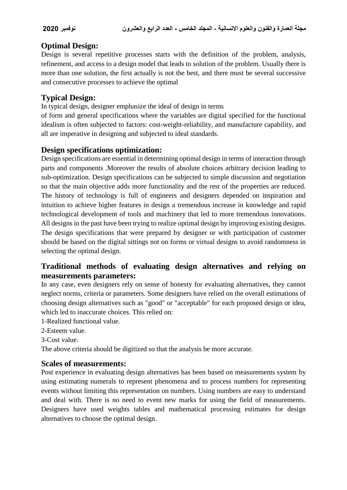# **Optimal Design:**

Design is several repetitive processes starts with the definition of the problem, analysis, refinement, and access to a design model that leads to solution of the problem. Usually there is more than one solution, the first actually is not the best, and there must be several successive and consecutive processes to achieve the optimal

# **Typical Design:**

In typical design, designer emphasize the ideal of design in terms

of form and general specifications where the variables are digital specified for the functional idealism is often subjected to factors: cost-weight-reliability, and manufacture capability, and all are imperative in designing and subjected to ideal standards.

### **Design specifications optimization:**

Design specifications are essential in determining optimal design in terms of interaction through parts and components .Moreover the results of absolute choices arbitrary decision leading to sub-optimization. Design specifications can be subjected to simple discussion and negotiation so that the main objective adds more functionality and the rest of the properties are reduced. The history of technology is full of engineers and designers depended on inspiration and intuition to achieve higher features in design a tremendous increase in knowledge and rapid technological development of tools and machinery that led to more tremendous innovations. All designs in the past have been trying to realize optimal design by improving existing designs. The design specifications that were prepared by designer or with participation of customer should be based on the digital sittings not on forms or virtual designs to avoid randomness in selecting the optimal design.

# **Traditional methods of evaluating design alternatives and relying on measurements parameters:**

In any case, even designers rely on sense of honesty for evaluating alternatives, they cannot neglect norms, criteria or parameters. Some designers have relied on the overall estimations of choosing design alternatives such as "good" or "acceptable" for each proposed design or idea, which led to inaccurate choices. This relied on:

- 1-Realized functional value.
- 2-Esteem value.
- 3-Cost value.

The above criteria should be digitized so that the analysis be more accurate.

#### **Scales of measurements:**

Post experience in evaluating design alternatives has been based on measurements system by using estimating numerals to represent phenomena and to process numbers for representing events without limiting this representation on numbers. Using numbers are easy to understand and deal with. There is no need to event new marks for using the field of measurements. Designers have used weights tables and mathematical processing estimates for design alternatives to choose the optimal design.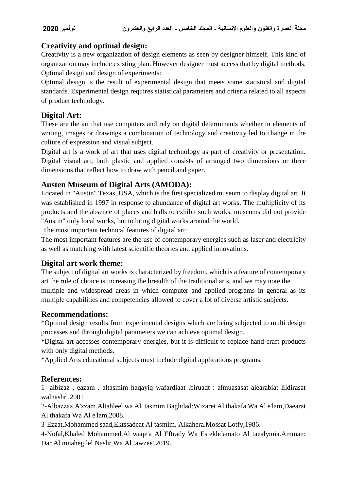# **Creativity and optimal design:**

Creativity is a new organization of design elements as seen by designer himself. This kind of organization may include existing plan. However designer must access that by digital methods. Optimal design and design of experiments:

Optimal design is the result of experimental design that meets some statistical and digital standards. Experimental design requires statistical parameters and criteria related to all aspects of product technology.

# **Digital Art:**

These are the art that use computers and rely on digital determinants whether in elements of writing, images or drawings a combination of technology and creativity led to change in the culture of expression and visual subject.

Digital art is a work of art that uses digital technology as part of creativity or presentation. Digital visual art, both plastic and applied consists of arranged two dimensions or three dimensions that reflect how to draw with pencil and paper.

# **Austen Museum of Digital Arts (AMODA):**

Located in "Austin" Texas, USA, which is the first specialized museum to display digital art. It was established in 1997 in response to abundance of digital art works. The multiplicity of its products and the absence of places and halls to exhibit such works, museums did not provide "Austin" only local works, but to bring digital works around the world.

The most important technical features of digital art:

The most important features are the use of contemporary energies such as laser and electricity as well as matching with latest scientific theories and applied innovations.

# **Digital art work theme:**

The subject of digital art works is characterized by freedom, which is a feature of contemporary art the rule of choice is increasing the breadth of the traditional arts, and we may note the multiple and widespread areas in which computer and applied programs in general as its multiple capabilities and competencies allowed to cover a lot of diverse artistic subjects.

# **Recommendations:**

\*Optimal design results from experimental designs which are being subjected to multi design processes and through digital parameters we can achieve optimal design.

\*Digital art accesses contemporary energies, but it is difficult to replace hand craft products with only digital methods.

\*Applied Arts educational subjects must include digital applications programs.

# **References:**

1- albizaz , eazam . altasmim haqayiq wafardiaat .biruadt : almuasasat alearabiat lildirasat walnashr ,2001

2-Albazzaz,A'zzam.Altahleel wa Al tasmim.Baghdad:Wizaret Al thakafa Wa Al e'lam,Daearat Al thakafa Wa Al e'lam,2008.

3-Ezzat,Mohammed saad,Ektssadeat Al tasmim. Alkahera.Mossat Lotfy,1986.

4-Nofal,Khaled Mohammed,Al waqe'a Al Eftrady Wa Estekhdamato Al taealymia.Amman: Dar Al mnaheg lel Nashr Wa Al tawzee',2019.